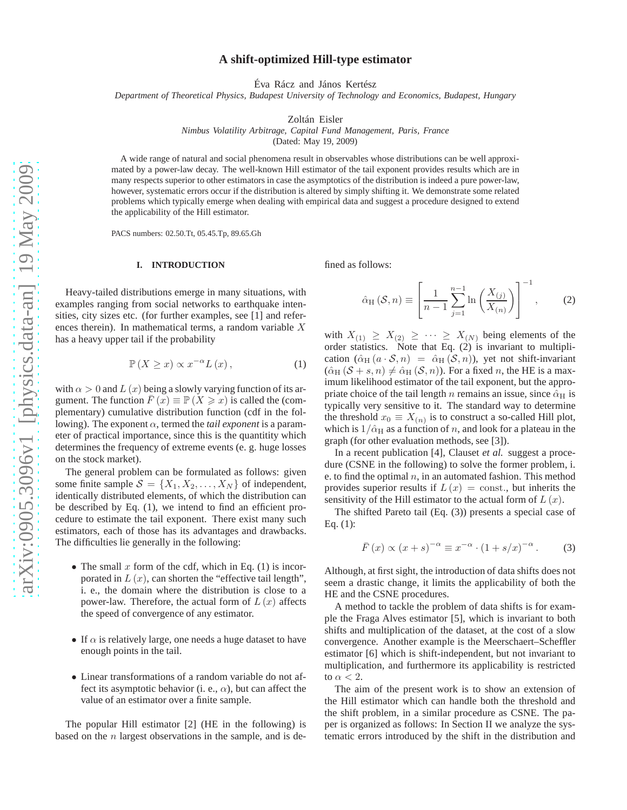# **A shift-optimized Hill-type estimator**

Éva Rácz and János Kertész

*Department of Theoretical Physics, Budapest University of Technology and Economics, Budapest, Hungary*

Zoltán Eisler

*Nimbus Volatility Arbitrage, Capital Fund Management, Paris, France*

(Dated: May 19, 2009)

A wide range of natural and social phenomena result in observables whose distributions can be well approximated by a power-law decay. The well-known Hill estimator of the tail exponent provides results which are in many respects superior to other estimators in case the asymptotics of the distribution is indeed a pure power-law, however, systematic errors occur if the distribution is altered by simply shifting it. We demonstrate some related problems which typically emerge when dealing with empirical data and suggest a procedure designed to extend the applicability of the Hill estimator.

PACS numbers: 02.50.Tt, 05.45.Tp, 89.65.Gh

## **I. INTRODUCTION**

Heavy-tailed distributions emerge in many situations, with examples ranging from social networks to earthquake intensities, city sizes etc. (for further examples, see [1] and references therein). In mathematical terms, a random variable X has a heavy upper tail if the probability

$$
\mathbb{P}\left(X \geq x\right) \propto x^{-\alpha} L\left(x\right),\tag{1}
$$

with  $\alpha > 0$  and  $L(x)$  being a slowly varying function of its argument. The function  $\bar{F}(x) \equiv \mathbb{P}(X \geq x)$  is called the (complementary) cumulative distribution function (cdf in the following). The exponent  $\alpha$ , termed the *tail exponent* is a parameter of practical importance, since this is the quantitity which determines the frequency of extreme events (e. g. huge losses on the stock market).

The general problem can be formulated as follows: given some finite sample  $S = \{X_1, X_2, \ldots, X_N\}$  of independent, identically distributed elements, of which the distribution can be described by Eq. (1), we intend to find an efficient procedure to estimate the tail exponent. There exist many such estimators, each of those has its advantages and drawbacks. The difficulties lie generally in the following:

- The small  $x$  form of the cdf, which in Eq. (1) is incorporated in  $L(x)$ , can shorten the "effective tail length", i. e., the domain where the distribution is close to a power-law. Therefore, the actual form of  $L(x)$  affects the speed of convergence of any estimator.
- If  $\alpha$  is relatively large, one needs a huge dataset to have enough points in the tail.
- Linear transformations of a random variable do not affect its asymptotic behavior (i. e.,  $\alpha$ ), but can affect the value of an estimator over a finite sample.

The popular Hill estimator [2] (HE in the following) is based on the  $n$  largest observations in the sample, and is defined as follows:

$$
\hat{\alpha}_{\rm H}(\mathcal{S}, n) \equiv \left[ \frac{1}{n-1} \sum_{j=1}^{n-1} \ln \left( \frac{X_{(j)}}{X_{(n)}} \right) \right]^{-1}, \qquad (2)
$$

with  $X_{(1)} \geq X_{(2)} \geq \cdots \geq X_{(N)}$  being elements of the order statistics. Note that Eq. (2) is invariant to multiplication  $(\hat{\alpha}_{H} (a \cdot \mathcal{S}, n) = \hat{\alpha}_{H} (\mathcal{S}, n)$ , yet not shift-invariant  $(\hat{\alpha}_{H} (\mathcal{S} + s, n) \neq \hat{\alpha}_{H} (\mathcal{S}, n))$ . For a fixed n, the HE is a maximum likelihood estimator of the tail exponent, but the appropriate choice of the tail length n remains an issue, since  $\hat{\alpha}_H$  is typically very sensitive to it. The standard way to determine the threshold  $x_0 \equiv X_{(n)}$  is to construct a so-called Hill plot, which is  $1/\hat{\alpha}_H$  as a function of n, and look for a plateau in the graph (for other evaluation methods, see [3]).

In a recent publication [4], Clauset *et al.* suggest a procedure (CSNE in the following) to solve the former problem, i. e. to find the optimal  $n$ , in an automated fashion. This method provides superior results if  $L(x) = \text{const.}$ , but inherits the sensitivity of the Hill estimator to the actual form of  $L(x)$ .

The shifted Pareto tail (Eq. (3)) presents a special case of Eq. (1):

$$
\bar{F}(x) \propto (x+s)^{-\alpha} \equiv x^{-\alpha} \cdot (1+s/x)^{-\alpha}.
$$
 (3)

Although, at first sight, the introduction of data shifts does not seem a drastic change, it limits the applicability of both the HE and the CSNE procedures.

A method to tackle the problem of data shifts is for example the Fraga Alves estimator [5], which is invariant to both shifts and multiplication of the dataset, at the cost of a slow convergence. Another example is the Meerschaert–Scheffler estimator [6] which is shift-independent, but not invariant to multiplication, and furthermore its applicability is restricted to  $\alpha < 2$ .

The aim of the present work is to show an extension of the Hill estimator which can handle both the threshold and the shift problem, in a similar procedure as CSNE. The paper is organized as follows: In Section II we analyze the systematic errors introduced by the shift in the distribution and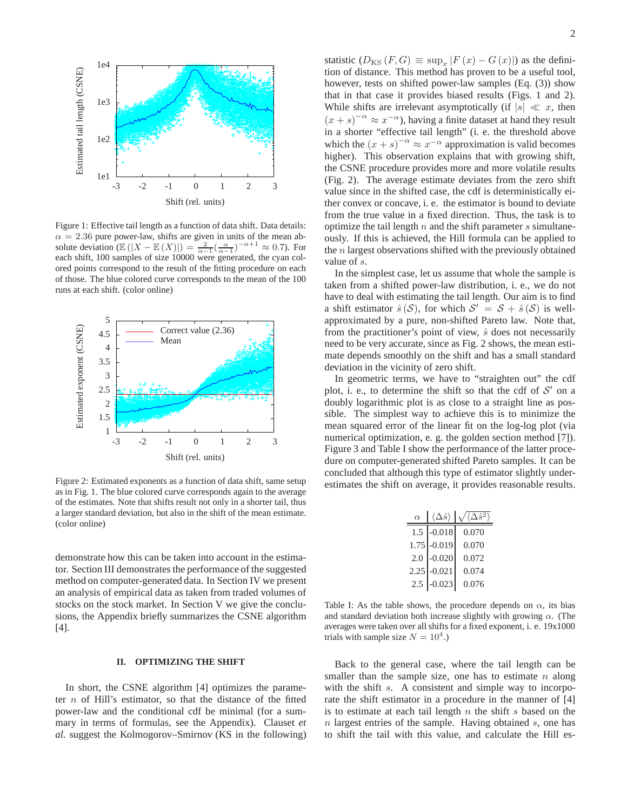

Figure 1: Effective tail length as a function of data shift. Data details:  $\alpha = 2.36$  pure power-law, shifts are given in units of the mean absolute deviation  $(\mathbb{E}(|X - \mathbb{E}(X)|) = \frac{2}{\alpha - 1} (\frac{\alpha}{\alpha - 1})^{-\alpha + 1} \approx 0.7)$ . For each shift, 100 samples of size 10000 were generated, the cyan colored points correspond to the result of the fitting procedure on each of those. The blue colored curve corresponds to the mean of the 100 runs at each shift. (color online)



Figure 2: Estimated exponents as a function of data shift, same setup as in Fig. 1. The blue colored curve corresponds again to the average of the estimates. Note that shifts result not only in a shorter tail, thus a larger standard deviation, but also in the shift of the mean estimate. (color online)

demonstrate how this can be taken into account in the estimator. Section III demonstrates the performance of the suggested method on computer-generated data. In Section IV we present an analysis of empirical data as taken from traded volumes of stocks on the stock market. In Section V we give the conclusions, the Appendix briefly summarizes the CSNE algorithm [4].

## **II. OPTIMIZING THE SHIFT**

In short, the CSNE algorithm [4] optimizes the parameter  $n$  of Hill's estimator, so that the distance of the fitted power-law and the conditional cdf be minimal (for a summary in terms of formulas, see the Appendix). Clauset *et al.* suggest the Kolmogorov–Smirnov (KS in the following)

statistic  $(D_{\text{KS}}(F, G) \equiv \sup_x |F(x) - G(x)|$  as the definition of distance. This method has proven to be a useful tool, however, tests on shifted power-law samples (Eq. (3)) show that in that case it provides biased results (Figs. 1 and 2). While shifts are irrelevant asymptotically (if  $|s| \ll x$ , then  $(x + s)^{-\alpha} \approx x^{-\alpha}$ , having a finite dataset at hand they result in a shorter "effective tail length" (i. e. the threshold above which the  $(x + s)^{-\alpha} \approx x^{-\alpha}$  approximation is valid becomes higher). This observation explains that with growing shift, the CSNE procedure provides more and more volatile results (Fig. 2). The average estimate deviates from the zero shift value since in the shifted case, the cdf is deterministically either convex or concave, i. e. the estimator is bound to deviate from the true value in a fixed direction. Thus, the task is to optimize the tail length  $n$  and the shift parameter  $s$  simultaneously. If this is achieved, the Hill formula can be applied to the  $n$  largest observations shifted with the previously obtained value of s.

In the simplest case, let us assume that whole the sample is taken from a shifted power-law distribution, i. e., we do not have to deal with estimating the tail length. Our aim is to find a shift estimator  $\hat{s}(S)$ , for which  $S' = S + \hat{s}(S)$  is wellapproximated by a pure, non-shifted Pareto law. Note that, from the practitioner's point of view,  $\hat{s}$  does not necessarily need to be very accurate, since as Fig. 2 shows, the mean estimate depends smoothly on the shift and has a small standard deviation in the vicinity of zero shift.

In geometric terms, we have to "straighten out" the cdf plot, i. e., to determine the shift so that the cdf of  $S'$  on a doubly logarithmic plot is as close to a straight line as possible. The simplest way to achieve this is to minimize the mean squared error of the linear fit on the log-log plot (via numerical optimization, e. g. the golden section method [7]). Figure 3 and Table I show the performance of the latter procedure on computer-generated shifted Pareto samples. It can be concluded that although this type of estimator slightly underestimates the shift on average, it provides reasonable results.

| $\alpha$ | $\langle \Delta \hat{s} \rangle$ | $^{\prime}$ ( $\Delta \hat{s}^2$ |
|----------|----------------------------------|----------------------------------|
| 1.5      | $-0.018$                         | 0.070                            |
| 1.75     | $-0.019$                         | 0.070                            |
| 2.0      | $-0.020$                         | 0.072                            |
| 2.25     | $-0.021$                         | 0.074                            |
| 2.5      | $-0.023$                         | 0.076                            |

Table I: As the table shows, the procedure depends on  $\alpha$ , its bias and standard deviation both increase slightly with growing  $\alpha$ . (The averages were taken over all shifts for a fixed exponent, i. e. 19x1000 trials with sample size  $N = 10^4$ .)

Back to the general case, where the tail length can be smaller than the sample size, one has to estimate  $n$  along with the shift s. A consistent and simple way to incorporate the shift estimator in a procedure in the manner of [4] is to estimate at each tail length  $n$  the shift  $s$  based on the n largest entries of the sample. Having obtained s, one has to shift the tail with this value, and calculate the Hill es-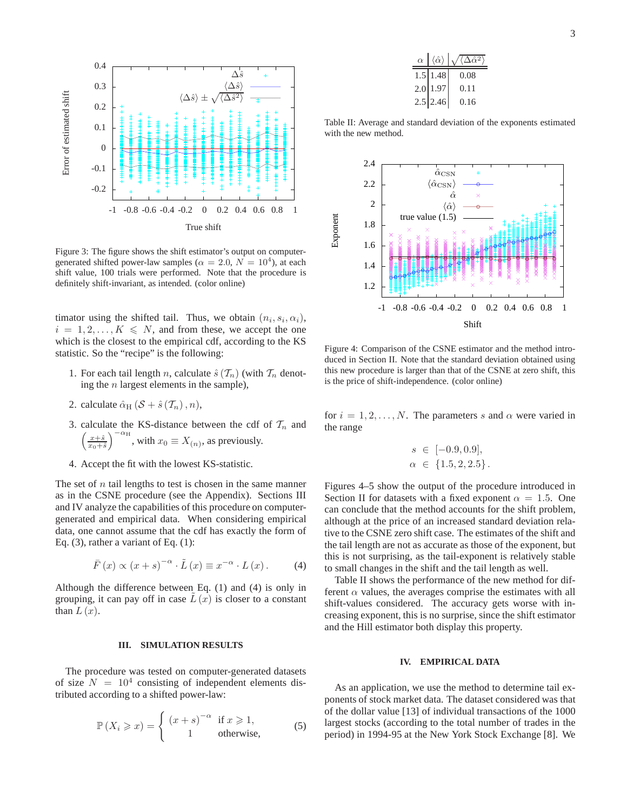

Figure 3: The figure shows the shift estimator's output on computergenerated shifted power-law samples ( $\alpha = 2.0, N = 10^4$ ), at each shift value, 100 trials were performed. Note that the procedure is definitely shift-invariant, as intended. (color online)

timator using the shifted tail. Thus, we obtain  $(n_i, s_i, \alpha_i)$ ,  $i = 1, 2, \ldots, K \leq N$ , and from these, we accept the one which is the closest to the empirical cdf, according to the KS statistic. So the "recipe" is the following:

- 1. For each tail length *n*, calculate  $\hat{s}(T_n)$  (with  $T_n$  denoting the  $n$  largest elements in the sample),
- 2. calculate  $\hat{\alpha}_{\text{H}}(\mathcal{S} + \hat{s}(\mathcal{T}_n), n)$ ,
- 3. calculate the KS-distance between the cdf of  $\mathcal{T}_n$  and  $\left(\frac{x+\hat{s}}{x_0+\hat{s}}\right)^{-\alpha_{\rm H}},$  with  $x_0 \equiv X_{(n)}$ , as previously.
- 4. Accept the fit with the lowest KS-statistic.

The set of  $n$  tail lengths to test is chosen in the same manner as in the CSNE procedure (see the Appendix). Sections III and IV analyze the capabilities of this procedure on computergenerated and empirical data. When considering empirical data, one cannot assume that the cdf has exactly the form of Eq. (3), rather a variant of Eq. (1):

$$
\bar{F}(x) \propto (x+s)^{-\alpha} \cdot \tilde{L}(x) \equiv x^{-\alpha} \cdot L(x). \tag{4}
$$

Although the difference between Eq. (1) and (4) is only in grouping, it can pay off in case  $\tilde{L}(x)$  is closer to a constant than  $L(x)$ .

#### **III. SIMULATION RESULTS**

The procedure was tested on computer-generated datasets of size  $N = 10<sup>4</sup>$  consisting of independent elements distributed according to a shifted power-law:

$$
\mathbb{P}(X_i \geqslant x) = \begin{cases} (x+s)^{-\alpha} & \text{if } x \geqslant 1, \\ 1 & \text{otherwise,} \end{cases}
$$
 (5)

| $\alpha$ | $\langle \hat{\alpha} \rangle \sqrt{\langle \hat{\alpha} \rangle}$ | $\langle\Delta\hat{\alpha}^2$ |
|----------|--------------------------------------------------------------------|-------------------------------|
|          | $1.5$ 1.48                                                         | 0.08                          |
|          | 2.0 1.97                                                           | 0.11                          |
|          | $2.5$ 2.46                                                         | 0.16                          |

Table II: Average and standard deviation of the exponents estimated with the new method.



Figure 4: Comparison of the CSNE estimator and the method introduced in Section II. Note that the standard deviation obtained using this new procedure is larger than that of the CSNE at zero shift, this is the price of shift-independence. (color online)

for  $i = 1, 2, ..., N$ . The parameters s and  $\alpha$  were varied in the range

$$
s \in [-0.9, 0.9],
$$
  

$$
\alpha \in \{1.5, 2, 2.5\}.
$$

Figures 4–5 show the output of the procedure introduced in Section II for datasets with a fixed exponent  $\alpha = 1.5$ . One can conclude that the method accounts for the shift problem, although at the price of an increased standard deviation relative to the CSNE zero shift case. The estimates of the shift and the tail length are not as accurate as those of the exponent, but this is not surprising, as the tail-exponent is relatively stable to small changes in the shift and the tail length as well.

Table II shows the performance of the new method for different  $\alpha$  values, the averages comprise the estimates with all shift-values considered. The accuracy gets worse with increasing exponent, this is no surprise, since the shift estimator and the Hill estimator both display this property.

## **IV. EMPIRICAL DATA**

As an application, we use the method to determine tail exponents of stock market data. The dataset considered was that of the dollar value [13] of individual transactions of the 1000 largest stocks (according to the total number of trades in the period) in 1994-95 at the New York Stock Exchange [8]. We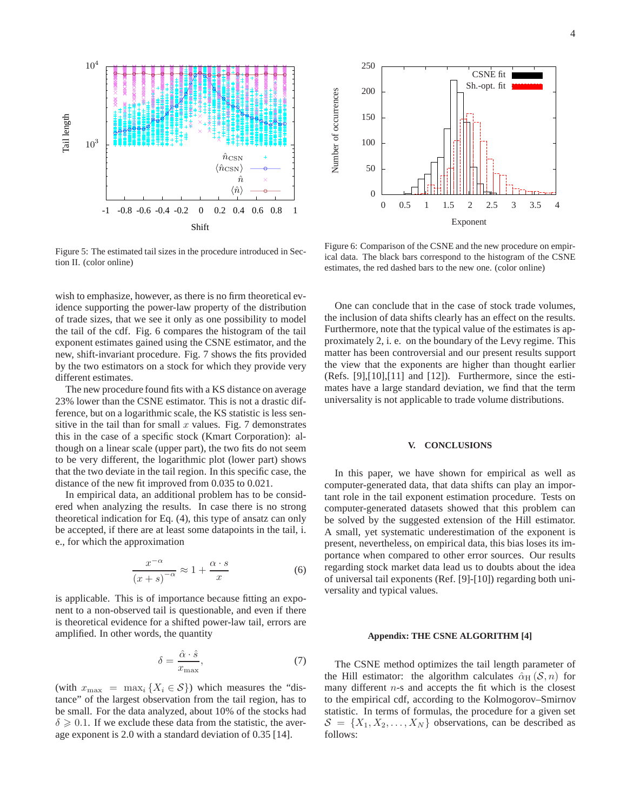

Figure 5: The estimated tail sizes in the procedure introduced in Section II. (color online)

wish to emphasize, however, as there is no firm theoretical evidence supporting the power-law property of the distribution of trade sizes, that we see it only as one possibility to model the tail of the cdf. Fig. 6 compares the histogram of the tail exponent estimates gained using the CSNE estimator, and the new, shift-invariant procedure. Fig. 7 shows the fits provided by the two estimators on a stock for which they provide very different estimates.

The new procedure found fits with a KS distance on average 23% lower than the CSNE estimator. This is not a drastic difference, but on a logarithmic scale, the KS statistic is less sensitive in the tail than for small  $x$  values. Fig. 7 demonstrates this in the case of a specific stock (Kmart Corporation): although on a linear scale (upper part), the two fits do not seem to be very different, the logarithmic plot (lower part) shows that the two deviate in the tail region. In this specific case, the distance of the new fit improved from 0.035 to 0.021.

In empirical data, an additional problem has to be considered when analyzing the results. In case there is no strong theoretical indication for Eq. (4), this type of ansatz can only be accepted, if there are at least some datapoints in the tail, i. e., for which the approximation

$$
\frac{x^{-\alpha}}{(x+s)^{-\alpha}} \approx 1 + \frac{\alpha \cdot s}{x} \tag{6}
$$

is applicable. This is of importance because fitting an exponent to a non-observed tail is questionable, and even if there is theoretical evidence for a shifted power-law tail, errors are amplified. In other words, the quantity

$$
\delta = \frac{\hat{\alpha} \cdot \hat{s}}{x_{\text{max}}},\tag{7}
$$

(with  $x_{\text{max}} = \max_i \{X_i \in S\}$ ) which measures the "distance" of the largest observation from the tail region, has to be small. For the data analyzed, about 10% of the stocks had  $\delta \geq 0.1$ . If we exclude these data from the statistic, the average exponent is 2.0 with a standard deviation of 0.35 [14].



Figure 6: Comparison of the CSNE and the new procedure on empirical data. The black bars correspond to the histogram of the CSNE estimates, the red dashed bars to the new one. (color online)

One can conclude that in the case of stock trade volumes, the inclusion of data shifts clearly has an effect on the results. Furthermore, note that the typical value of the estimates is approximately 2, i. e. on the boundary of the Levy regime. This matter has been controversial and our present results support the view that the exponents are higher than thought earlier (Refs. [9],[10],[11] and [12]). Furthermore, since the estimates have a large standard deviation, we find that the term universality is not applicable to trade volume distributions.

## **V. CONCLUSIONS**

In this paper, we have shown for empirical as well as computer-generated data, that data shifts can play an important role in the tail exponent estimation procedure. Tests on computer-generated datasets showed that this problem can be solved by the suggested extension of the Hill estimator. A small, yet systematic underestimation of the exponent is present, nevertheless, on empirical data, this bias loses its importance when compared to other error sources. Our results regarding stock market data lead us to doubts about the idea of universal tail exponents (Ref. [9]-[10]) regarding both universality and typical values.

#### **Appendix: THE CSNE ALGORITHM [4]**

The CSNE method optimizes the tail length parameter of the Hill estimator: the algorithm calculates  $\hat{\alpha}_{H}(\mathcal{S}, n)$  for many different  $n$ -s and accepts the fit which is the closest to the empirical cdf, according to the Kolmogorov–Smirnov statistic. In terms of formulas, the procedure for a given set  $S = \{X_1, X_2, \ldots, X_N\}$  observations, can be described as follows: